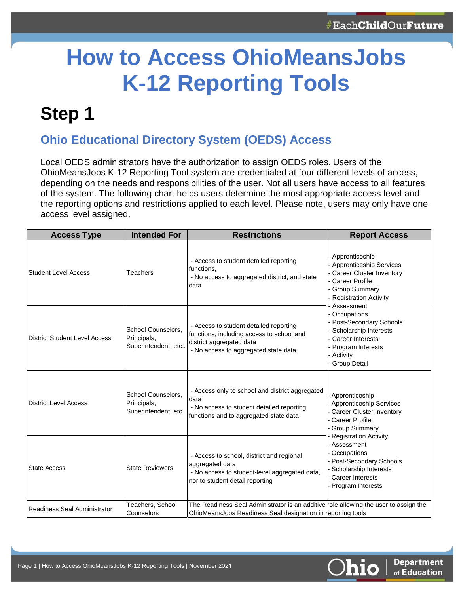# **How to Access OhioMeansJobs K-12 Reporting Tools**

### **Step 1**

#### **Ohio Educational Directory System (OEDS) Access**

Local OEDS administrators have the authorization to assign OEDS roles. Users of the OhioMeansJobs K-12 Reporting Tool system are credentialed at four different levels of access, depending on the needs and responsibilities of the user. Not all users have access to all features of the system. The following chart helps users determine the most appropriate access level and the reporting options and restrictions applied to each level. Please note, users may only have one access level assigned.

| <b>Access Type</b>                   | <b>Intended For</b>                                                                                                                                                                                                 | <b>Restrictions</b>                                                                                                                                 | <b>Report Access</b>                                                                                                                                            |  |  |
|--------------------------------------|---------------------------------------------------------------------------------------------------------------------------------------------------------------------------------------------------------------------|-----------------------------------------------------------------------------------------------------------------------------------------------------|-----------------------------------------------------------------------------------------------------------------------------------------------------------------|--|--|
| <b>Student Level Access</b>          | Teachers                                                                                                                                                                                                            | - Access to student detailed reporting<br>functions,<br>- No access to aggregated district, and state<br>data                                       | - Apprenticeship<br>- Apprenticeship Services<br>- Career Cluster Inventory<br>- Career Profile<br>- Group Summary<br>- Registration Activity                   |  |  |
| <b>District Student Level Access</b> | - Access to student detailed reporting<br>School Counselors.<br>functions, including access to school and<br>Principals,<br>district aggregated data<br>Superintendent, etc<br>- No access to aggregated state data |                                                                                                                                                     | Assessment<br>- Occupations<br>- Post-Secondary Schools<br>- Scholarship Interests<br>- Career Interests<br>- Program Interests<br>- Activity<br>- Group Detail |  |  |
| <b>District Level Access</b>         | School Counselors.<br>Principals,<br>Superintendent, etc                                                                                                                                                            | - Access only to school and district aggregated<br>data<br>- No access to student detailed reporting<br>functions and to aggregated state data      | Apprenticeship<br><b>Apprenticeship Services</b><br><b>Career Cluster Inventory</b><br><b>Career Profile</b><br><b>Group Summary</b>                            |  |  |
| <b>State Access</b>                  | <b>State Reviewers</b>                                                                                                                                                                                              | - Access to school, district and regional<br>aggregated data<br>- No access to student-level aggregated data,<br>nor to student detail reporting    | <b>Registration Activity</b><br>Assessment<br>Occupations<br>Post-Secondary Schools<br>Scholarship Interests<br><b>Career Interests</b><br>Program Interests    |  |  |
| Readiness Seal Administrator         | Teachers, School<br>Counselors                                                                                                                                                                                      | The Readiness Seal Administrator is an additive role allowing the user to assign the<br>OhioMeansJobs Readiness Seal designation in reporting tools |                                                                                                                                                                 |  |  |

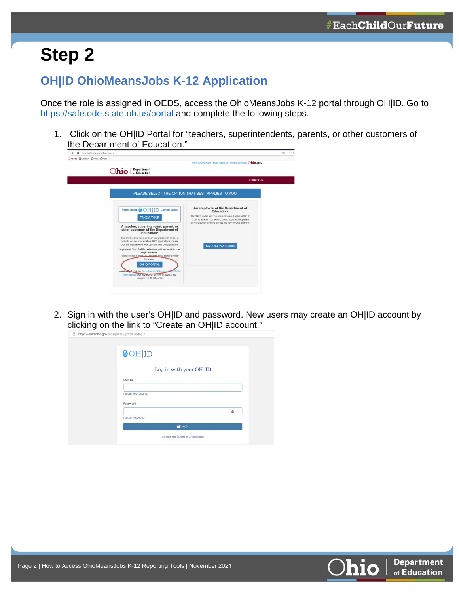## **Step 2**

#### **OH|ID OhioMeansJobs K-12 Application**

Once the role is assigned in OEDS, access the OhioMeansJobs K-12 portal through OH|ID. Go to <https://safe.ode.state.oh.us/portal> and complete the following steps.

1. Click on the OH|ID Portal for "teachers, superintendents, parents, or other customers of the Department of Education."

| $\circ$<br>https://safe.ode.state.oh.us/portal                                                                                                                                                                                                                                                                                                                                                                                                                                                                                                                                                                                                                             |                                                                                                                                                                                                                                                                    | 田 | $$ 5 |
|----------------------------------------------------------------------------------------------------------------------------------------------------------------------------------------------------------------------------------------------------------------------------------------------------------------------------------------------------------------------------------------------------------------------------------------------------------------------------------------------------------------------------------------------------------------------------------------------------------------------------------------------------------------------------|--------------------------------------------------------------------------------------------------------------------------------------------------------------------------------------------------------------------------------------------------------------------|---|------|
| MAdobe COMWA COM C WW<br><b>Department</b><br>)hio<br>of Education                                                                                                                                                                                                                                                                                                                                                                                                                                                                                                                                                                                                         | Home   About ODE   State Agencies   Online Services   Ohio.gov                                                                                                                                                                                                     |   |      |
|                                                                                                                                                                                                                                                                                                                                                                                                                                                                                                                                                                                                                                                                            | <b>CONTACT US</b>                                                                                                                                                                                                                                                  |   |      |
|                                                                                                                                                                                                                                                                                                                                                                                                                                                                                                                                                                                                                                                                            | PLEASE SELECT THE OPTION THAT BEST APPLIES TO YOU:                                                                                                                                                                                                                 |   |      |
| Redesigned OH ID<br><b>Coming Soon</b><br><b>TAKE A TOUR</b><br>A teacher, superintendent, parent, or<br>other customer of the Department of<br><b>Education:</b><br>The SAFE portal has now been integrated with OH(ID. In<br>order to access your existing SAFE applications, please<br>click the button below to access the new OHJD platform.<br>Important: Your SAFE credentials will not work in the<br>OHIID platform.<br>Please create a new OHID account if you do not already<br>have one.<br><b>OHID PORTAL</b><br>Need Help2 Visit the Department of Education Philip Portal<br>Help webpage for information on how to access and<br>navigate the OHJD portal. | An employee of the Department of<br><b>Education:</b><br>The SAFE portal has now been integrated with myOhio. In<br>order to access your existing SAFE applications, please<br>click the button below to access the new myOhio platform.<br><b>MYOHIO PLATFORM</b> |   |      |

2. Sign in with the user's OH|ID and password. New users may create an OH|ID account by clicking on the link to "Create an OH|ID account."

| Log in with your OH   ID    |   |
|-----------------------------|---|
|                             |   |
| User ID                     |   |
| <b>FORGOT YOUR USER ID?</b> |   |
| Password                    |   |
|                             | R |
| <b>FORGOT PASSWORD?</b>     |   |
| <b>ALog</b> In              |   |

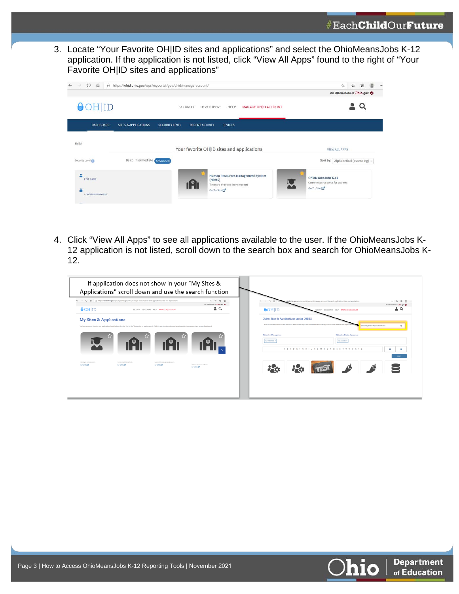3. Locate "Your Favorite OH|ID sites and applications" and select the OhioMeansJobs K-12 application. If the application is not listed, click "View All Apps" found to the right of "Your Favorite OH|ID sites and applications"

| $\circ$<br>⋒     | A https://ohid.ohio.gov/wps/myportal/gov/ohid/manage-account/ |                                                                      | 曲<br>立<br>☆                               |
|------------------|---------------------------------------------------------------|----------------------------------------------------------------------|-------------------------------------------|
|                  |                                                               |                                                                      | An Official Site of Chio.gov              |
| $\odot$ HID      |                                                               | MANAGE OH ID ACCOUNT<br><b>SECURITY</b><br><b>DEVELOPERS</b><br>HELP |                                           |
| <b>DASHBOARD</b> | <b>SITES &amp; APPLICATIONS</b><br><b>SECURITY LEVEL</b>      | <b>RECENT ACTIVITY</b><br><b>DEVICES</b>                             |                                           |
| Hello!           |                                                               |                                                                      |                                           |
|                  |                                                               | Your favorite OH ID sites and applications                           | <b>VIEW ALL APPS</b>                      |
| Security Level   | Basic Intermediate Advanced                                   |                                                                      | Sort by: Alphabetical (ascending) $\star$ |

4. Click "View All Apps" to see all applications available to the user. If the OhioMeansJobs K-12 application is not listed, scroll down to the search box and search for OhioMeansJobs K-12.

|                                                                                                                                                                                                                                   | If application does not show in your "My Sites & |                                                     | Applications" scroll down and use the search function |                                            |                                                                                                                                                                                   |                                                             |                                    |
|-----------------------------------------------------------------------------------------------------------------------------------------------------------------------------------------------------------------------------------|--------------------------------------------------|-----------------------------------------------------|-------------------------------------------------------|--------------------------------------------|-----------------------------------------------------------------------------------------------------------------------------------------------------------------------------------|-------------------------------------------------------------|------------------------------------|
| $\leftarrow$ $\rightarrow$ $\leftarrow$ $\Omega$ $\rightarrow$ $R$ https://ehid.chip.gov/vox/myportal/psy/chid/manage-account/shm and-applications/shm and-applications<br>$\theta$ OH ID                                         |                                                  | SECURITY DEVELOPERS HELP MANAGEOHIO ACCOUNT         | 0.010<br>As Official Site of Chicago @<br>≟ ຊ         | $\Theta$ OH ID                             | ahio.gov/vos/myportal/gov/ohid/manage-account/sites-and-applications/sites-and-applications                                                                                       | SECURITY DEVELOPERS HELP MANAGE OHIO ACCOUNT                | As Official filte of Chin gov      |
| My Sites & Applications<br>You have access to the sites and applications listed below. Click the "Go To Site" link under an app to open it. Click the star loon to make your favorite applications appear right on your Dashboard |                                                  |                                                     |                                                       |                                            | Other Sites & Applications under OH ID<br>Search for new applications and sites from State of Ohio Agencies. Click an application image to learn more about it and request attend |                                                             | Search by Site or Application Name |
|                                                                                                                                                                                                                                   |                                                  |                                                     |                                                       | <b>Filter by Categories</b><br>ALCOHOMES X | A B C D E F G H I J K L M N O P Q R S T U V W X Y Z                                                                                                                               | <b>Filter by State Agencies</b><br><b><i>BLAGNORS H</i></b> | 19                                 |
| Merch in demand cannot<br>Co To She CO                                                                                                                                                                                            | Monitoring of Tederal funch<br>Go To Site CC     | Submit DIRS data appeals & scalvers<br>Go To StarCC | Approve application requests<br>On To Strait          |                                            |                                                                                                                                                                                   |                                                             | <b>WWY</b>                         |
|                                                                                                                                                                                                                                   |                                                  |                                                     |                                                       |                                            |                                                                                                                                                                                   |                                                             |                                    |